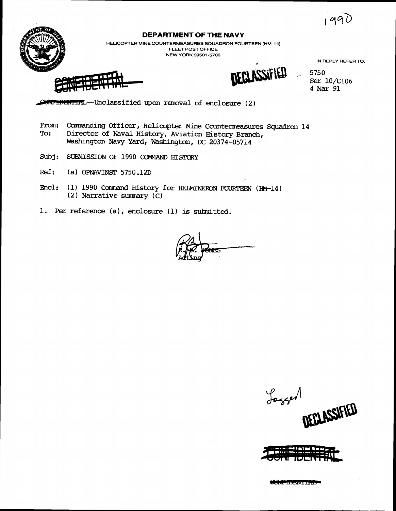$199$ 

**IN REPLY REFER TO:** 



## **DEPARTMENT OF THE NAVY**

**HELICOPTER MINE COUNTERMEASURES SQUADRON FOURTEEN (HM-14) FLEET POST OFFICE NEW YORK 09501 -5700** 

WECURTEEN (HM-14)<br>
WREPLY REFERT<br>
WREPLY REFERT<br>
WREPLY REFERT<br>
WREPLY REFERT

, **5750 Ser 10/C106 4** *Mar* **91** 

**--Unclassified upon rmval of enclosure** ( **2** )

From: Commanding Officer, Helicopter Mine Countermeasures Squadron 14<br>To: Director of Naval History, Aviation History Branch **To: Director of Naval History, Aviation History Branch,**  Washington Navy Yard, Washington, DC 20374-05714

- Subj: SUBMISSION OF 1990 COMMAND HISTORY
- **Ref:** (a) **OPNAVINST** 5750.12D
- **Encl:** (1) 1990 Command History for HEIMINERON FOURTEEN (HM-14) ( **2** ) **Narrative surmrary** ( **C** )

**1. Per reference (a), enclosure (1) is suhnitted.** 

Joseph DEGLASSIFIED



**CONTROLLERING**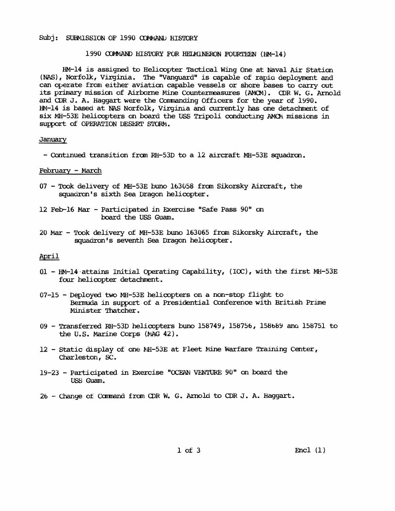### Subj: SUBMISSION OF 1990 COMMAND HISTORY

### 1990 COMMAND HISTORY FOR HELMINERON FOURTEEN (HM-14)

HM-14 is assigned to Helicopter Tactical Wing One at Naval *Air* **Station (PAS),** Norfolk, Virginia. The "Vanguard" is capable of rapia deployment and can operate from either aviation capable vessels or shore bases to carry out **~ts** primary mission of Airborne Mine Countermasures (AMCN) . CDR W. **G.** Arnold **and** CDR **J.** A. Haggart were the Camanding Offlcers for the year of 1990. HM-14 is based at NAS Norfolk, Virginia and currently has one detachment of six MH-53E helicopters on board the USS Tripoli conducting AMCM missions in support of OPERATION DESERT STORM.

### January

- Cantmued transition fram RH-53D **to** a 12 aircraft MH-53E **squadrm.** 

### **February** - *March*

- <sup>07</sup> Took delivery of MH-53E buno 163058 fram Sikorsky Aircraft, the squadran's sixth Sea Dragon helicopter.
- 12 Feb-16 Mar Participated in Exercise "Safe Pass 90" on bard the USS **Guam.**
- <sup>20</sup>*Mar*  **Took** delivery of MH-53E buno 163065 fmm Sikorsky Aircraft, the squadron's seventh Sea Dragon helicopter.

### April

- 01 HM-14 attains Initial Operating Capability, (IOC), with the first MH-53E four helicopter detachment.
- 07-15 Deployed two MH-53E helicopters on a nm-stop flight to **Bermuda** in support of a Presidential **Conference** with British Prime Minister Thatcher.
- <sup>09</sup> Transferred RH-53D helicopters buno 158749, 158756, 158bb9 **am** 158751 to the U.S. Marine Corps **(kAG** 42).
- 12 Static display of one MH-53E at Fleet Mine Warfare Training Center, Charleston, **SC.**
- 15-23 Participated in Exercise **"OCEAN** VENTURE 90'' on board the USS Guam.
- <sup>26</sup> Change ot **Camand** from CllR **W. G.** Amold **to CDR J.** A. Haggart.

 $1$  of  $3$ 

 $\text{Encl}(\mathbf{1})$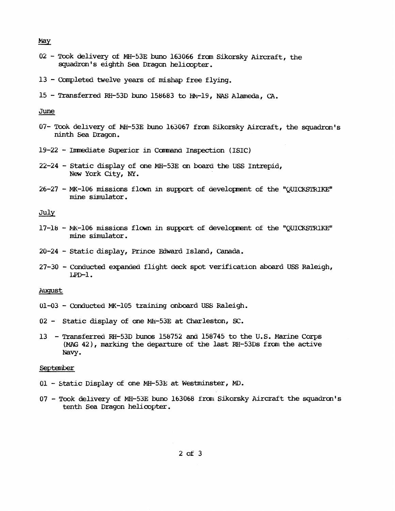May

- <sup>02</sup> Took delivery of MH-53E **buno** 163066 fran Sikorsky Aircraft, the squadran's **eighth Sea** Dragon helicopter .
- <sup>13</sup> Completed twelve years of mishap free flying. 13 - Comp.<br>15 - Trans<br><u>June</u><br>07- Trok d
- <sup>15</sup> Transferred RH-53D bum 158683 **to** HEl-19, **NAS** Alameda, **CA.**

- 07- Took delivery of MH-53E buno 163067 from Sikorsky Aircraft, the squadron's ninth **Sea** Dragon.
- 19-22 Immediate Superior in Command Inspection (ISIC)
- 22-24 Static display of me MH-53E **on** board the USS Intrepid, **New** York City, **NY.**
- 26-27 MK-106 missions flown in support of development of the "QUICKSTRIKE" mine simulator.

July

- 17-16 kfi-106 missions f lcwn in support of developrent of the "QUICKSTRIKE" mine simulator.
- 20-24 Static display, Prince Edward Island, **Canada.**
- $27-30$  Conducted expanded flight deck spot verification aboard USS Raleigh, LPD-1.

August

- 01-03 Conducted MK-105 training onboard USS Raleigh.
- <sup>02</sup> Static display of one Mh-53E at Charleston, **SC.**
- <sup>13</sup> Transferred RH-53D **bunos** 158752 and; 158745 to the U.S. Marine Corps **(MAG** 42), marking the departure of the last RH-53Us **from** the active Navy.

**September** 

- <sup>01</sup> Static Display of me MH-53E at Westminster, **MD.**
- <sup>07</sup> Took dellvery **af** MH-53E **buno** 163068 fm1 Sikorsky Aircraft the squadranls tenth Sea Dragon helicopter.

 $2$  of  $3$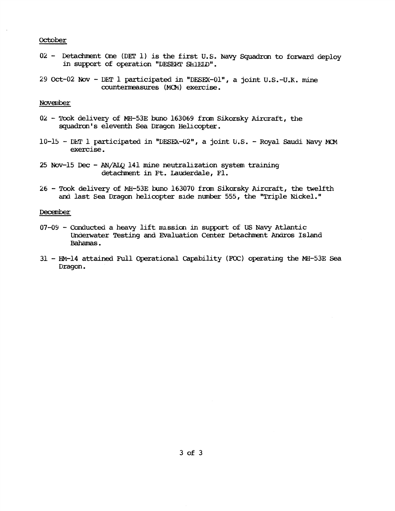### October

- 02 Detachment One (DET 1) is the first U.S. Navy Squadron to forward deploy in support of operation "DESERT SHIELD".
- 29 Oct-02 Nov DET 1 participated in "DESEX-01", a joint  $U.S.-U.K.$  mine cuuntenwasures **(MCFi)** exercise.

### November

- 02 Took delivery of MH-53E buno 163069 from Sikorsky Aircraft, the squadron's eleventh Sea Dragon Helicopter.
- 10-15 DET 1 participated in "DESEX-02", a joint U.S. Royal Saudi Navy MCM exercise.
- 25 Nov-15 Dec AN/ALQ 141 mine neutralization system training detachment in Ft. Lauderdale, Fl.
- <sup>26</sup> Took delivery of Mi-53E buno 163070 fran Sikarsky Aircraft, the twelfth and last **Sea** Dragon **helicopter** slde nurrber 555, the "Triple Nickel."

### December

- 07-09 Conducted a heavy lift mission in support of US Navy Atlantic Underwater Testing and Evaluation Center Detachment Andros Island **Bahamas.**
- <sup>31</sup> HM-14 attained Full Operational Capability **(FOC)** operating the **MH-53E** Sea Dragon.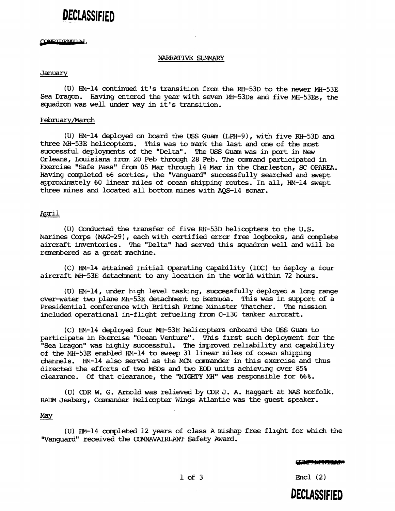# DECLASSIFIFD

### CONFIDENTILLY

### NARRATIVE: SUMMARY

### **January**

(U) HM-14 continued it's transition from the RH-53D to the newer MH-53E Sea Dragon. Having entered the year with seven RH-53Ds and five MH-53Es, the squadron was well under way in it's transition.

### February/March

(U) HM-14 deployed on board the USS **Guam** (LPH-91, with flve RH-53D **ana**  three MH-53E helicopters. This was to mark the last and one of the most successful deployments of the "Delta". The USS Guam was in port in **New**  Orleans, Louisiana from 20 Feb through 28 Feb. The command participated in Exercise "Safe Pass" frcxn 05 Mar through 14 **Mar** in the Charleston, **SC** OPAREA. Having completed **b6** sorties, the "Vanguard" successfully searched **and** wept approximately 60 linear miles of ocean shipping routes. In all, HM-14 swept **three** mines aMI located all bottom mines with AQS-14 **sonar.** 

### April

(U) Conducted the transfer of five RH-53D hellcopters to the U.S. Marines Corps (MAG-29), each with certified error free logbooks, and complete aircraft inventories. The "Delta" **had served** this **squadrcm** well and will be remembered as a great machine.

**(C)** HM-14 attained Initial Operating CapabiLty (IOC) to aeploy a tour aircraft MH-53E detachment to any location in the world within 72 hours.

**(U)** Bi-14, under hlgh level taskmg, successfully deployed a lmg range over-water two plane MH-53E detachment to Bermuda. This was in support of a Presidential conference with Britlsh Prime Wmlster **Thatcher.** The misslon included operational in-flight refueling from C-130 tanker aircraft.

**(C)** HM-14 deploy& four MH-53E helicopters onboard the USS Guam to participate in Exercise "Ocean Venture". This first such deployment for the "Sea Dragon" was highly successful. The improved reliability and capability of the MH-53E **enabled** HM-14 to **sweep** 31 **linear** mles of **ocean** shppmg channels. HM-14 also served as the MCM commander in this exercise and thus directed the efforts of two MSOs and two EOD units achieving over 85% clearance. Of that clearance, the "PIIGHTY MH" **was** responsible for 66%.

(U) CDR W. G. Arnold was relieved by CDR J. A. Haggart at NAS Norfolk. RADM Jesberg, Commander Helicopter Wings Atlantic was the guest speaker.

### May

(U) HM-14 axpleted 12 years of class A mishap **free** flight for which the "Vanguard" received the **CCMNAVU1RLANT** Safety Award.

 $Encl(2)$ 

**DECLASSIFIED**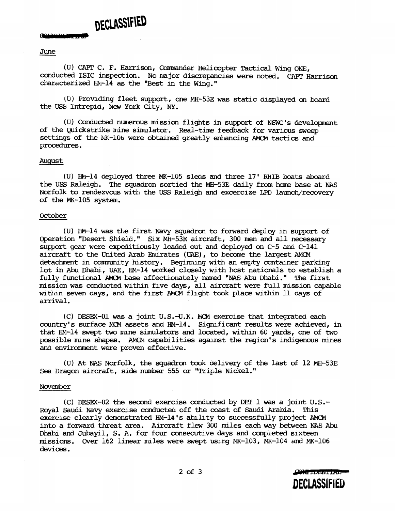# DECLASSIFIED

# Commune<br>June<br>(II)

(U) CAPT C. F. Harrison, Commander Helicopter Tactical Wing ONE, conducted ISIC inspection. No **nm** jor discrepancies were noted. CAPT Harrisan characterized MI-14 **as** the "Best in the Wing."

(U) Providing fleet support, one MH-53E was static displayed on board the USS Intrepid, New York City, NY.

( U) Conducted numerous mi ssim flights in support of NSWC **I** s developnent of the Quickstrike aine simulator. Real-time feedback for various sweep settings of the MK-106 were obtained greatly enhancing AMCM tactics and procedures.

### August

**(U)** HN-14 deployed **three** MK-105 sleds andl **three** 17' RHIB boats **abcard**  the USS Raleigh. The squadron sortied the MH-53E daily from home base at NAS Norfolk to rendezvous with the USS Raleigh and excercize LPD launch/recovery of the MK-105 system.

### October

(U) HM-14 was the first Navy *squadron* to forward deploy m support of Operation "Desert Shield." Six MH-53E aircraft, 300 men and all necessary support gear were expeditiously loaded out and deployed on C-5 and C-141 aircraft to the United Arab Emirates (UAE), to become the largest AMCM detachment in comnunity history. Beginnlng with **an** empty **container** parking lot in Abu Dhabi, **UAE,** HM-14 worked closely with host nationals to establish a fully functional AMPI he affectionately narned **"NAS** Abu Dhabi." The first mission was conducted within five days, all aircraft were full mission capable wlthu seven **days,** and the flrst *AElCM* fhght took place within 11 **days** of arrival.

(C) DESEX-01 was a joint U.S.-U.K. MCM exercise that integrated each country's surface MCM assets and HM-14. Significant results were achieved, in that HM-14 swept two mine simulators and located, within 60 yards, one of two possible mine shapes. AMON capabilities against the region's indigenous mines and environment were proven effective.

(U) At NAS Norfolk, the squadron took delivery of the last of 12 MH-53E Sea Dragon aircraft, side nuher *555* or "Triple Nickel."

### November

(C) DESEX-02 the secand exercise **conducted** by DET 1 was a jomt U.S.- Royal Saudi Navy exercise conductea off the coast of Saudi Arabia. This exercise clearly demonstrated HM-14's ability to successfully project AMCM into a forward threat area. Aircraft flew 300 miles each way between NAS Abu Dhabi and Jubayil, S. A. for four consecutive days and completed sixteen missions. Over 162 linear mles were swept uslng FK-103, MK-104 and MK-106 devices.